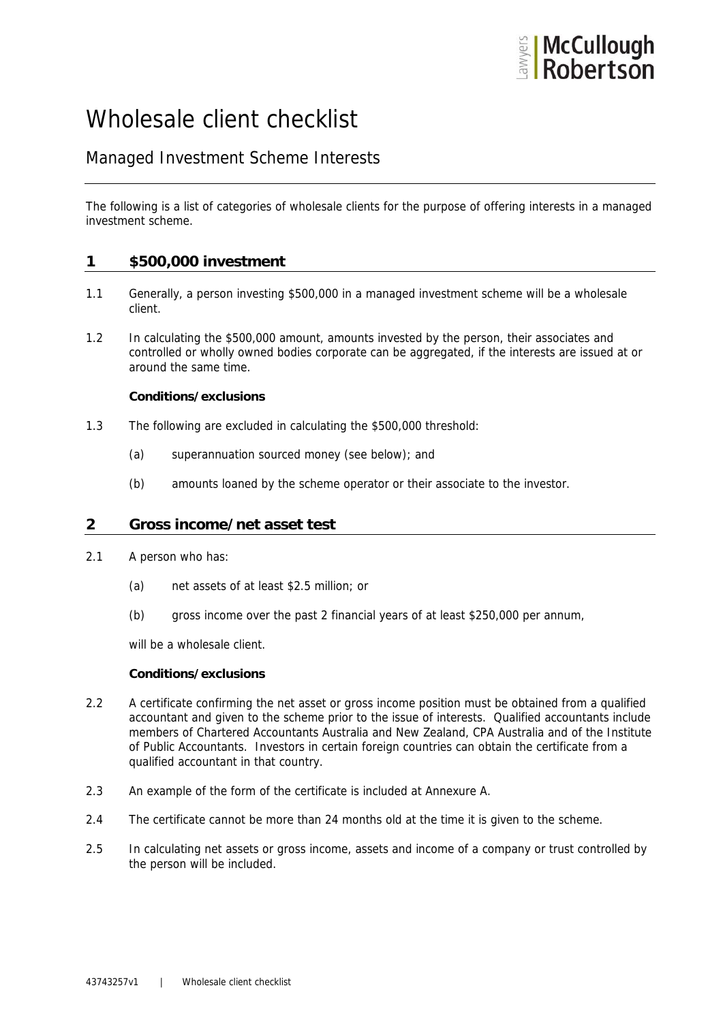

# Wholesale client checklist

# Managed Investment Scheme Interests

The following is a list of categories of wholesale clients for the purpose of offering interests in a managed investment scheme.

# **1 \$500,000 investment**

- 1.1 Generally, a person investing \$500,000 in a managed investment scheme will be a wholesale client.
- 1.2 In calculating the \$500,000 amount, amounts invested by the person, their associates and controlled or wholly owned bodies corporate can be aggregated, if the interests are issued at or around the same time.

### **Conditions/exclusions**

- 1.3 The following are excluded in calculating the \$500,000 threshold:
	- (a) superannuation sourced money (see below); and
	- (b) amounts loaned by the scheme operator or their associate to the investor.

# **2 Gross income/net asset test**

- 2.1 A person who has:
	- (a) net assets of at least \$2.5 million; or
	- (b) gross income over the past 2 financial years of at least \$250,000 per annum,

will be a wholesale client.

### **Conditions/exclusions**

- 2.2 A certificate confirming the net asset or gross income position must be obtained from a qualified accountant and given to the scheme prior to the issue of interests. Qualified accountants include members of Chartered Accountants Australia and New Zealand, CPA Australia and of the Institute of Public Accountants. Investors in certain foreign countries can obtain the certificate from a qualified accountant in that country.
- 2.3 An example of the form of the certificate is included at Annexure A.
- 2.4 The certificate cannot be more than 24 months old at the time it is given to the scheme.
- 2.5 In calculating net assets or gross income, assets and income of a company or trust controlled by the person will be included.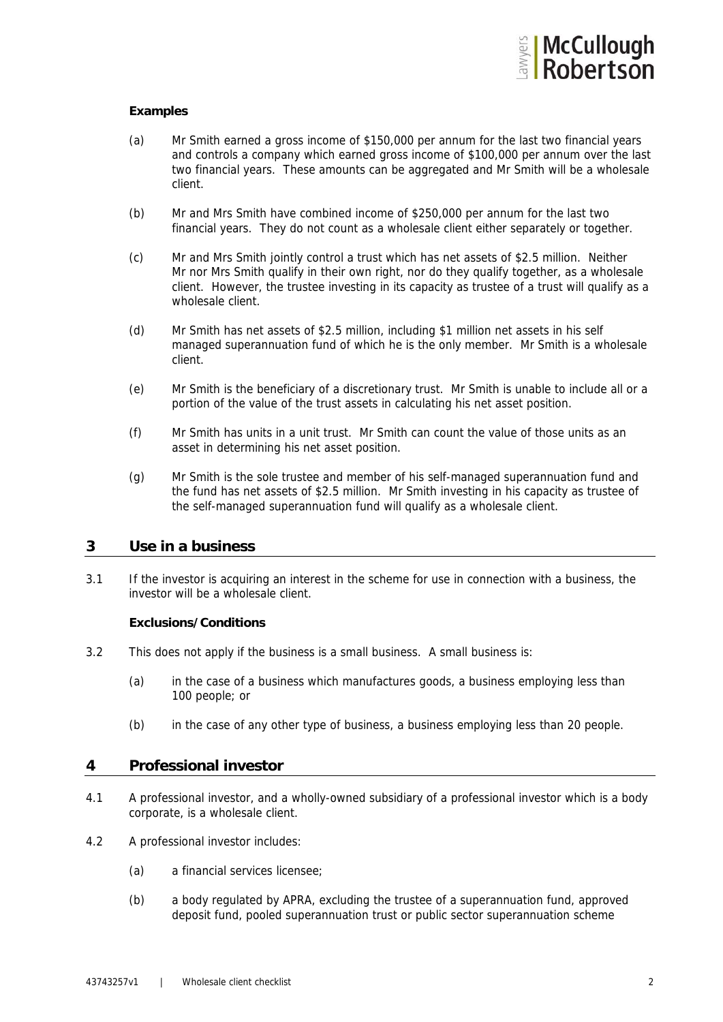

### **Examples**

- (a) Mr Smith earned a gross income of \$150,000 per annum for the last two financial years and controls a company which earned gross income of \$100,000 per annum over the last two financial years. These amounts can be aggregated and Mr Smith will be a wholesale client.
- (b) Mr and Mrs Smith have combined income of \$250,000 per annum for the last two financial years. They do not count as a wholesale client either separately or together.
- (c) Mr and Mrs Smith jointly control a trust which has net assets of \$2.5 million. Neither Mr nor Mrs Smith qualify in their own right, nor do they qualify together, as a wholesale client. However, the trustee investing in its capacity as trustee of a trust will qualify as a wholesale client.
- (d) Mr Smith has net assets of \$2.5 million, including \$1 million net assets in his self managed superannuation fund of which he is the only member. Mr Smith is a wholesale client.
- (e) Mr Smith is the beneficiary of a discretionary trust. Mr Smith is unable to include all or a portion of the value of the trust assets in calculating his net asset position.
- (f) Mr Smith has units in a unit trust. Mr Smith can count the value of those units as an asset in determining his net asset position.
- (g) Mr Smith is the sole trustee and member of his self-managed superannuation fund and the fund has net assets of \$2.5 million. Mr Smith investing in his capacity as trustee of the self-managed superannuation fund will qualify as a wholesale client.

### **3 Use in a business**

3.1 If the investor is acquiring an interest in the scheme for use in connection with a business, the investor will be a wholesale client.

#### **Exclusions/Conditions**

- 3.2 This does not apply if the business is a small business. A small business is:
	- (a) in the case of a business which manufactures goods, a business employing less than 100 people; or
	- (b) in the case of any other type of business, a business employing less than 20 people.

### **4 Professional investor**

- 4.1 A professional investor, and a wholly-owned subsidiary of a professional investor which is a body corporate, is a wholesale client.
- 4.2 A professional investor includes:
	- (a) a financial services licensee;
	- (b) a body regulated by APRA, excluding the trustee of a superannuation fund, approved deposit fund, pooled superannuation trust or public sector superannuation scheme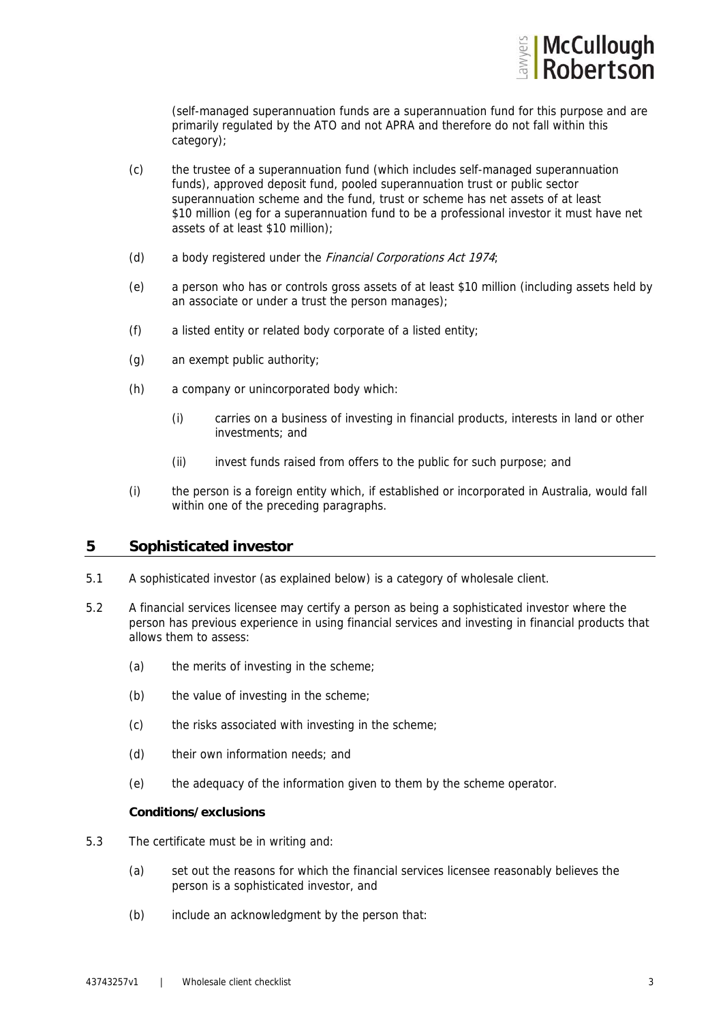

(self-managed superannuation funds are a superannuation fund for this purpose and are primarily regulated by the ATO and not APRA and therefore do not fall within this category);

- (c) the trustee of a superannuation fund (which includes self-managed superannuation funds), approved deposit fund, pooled superannuation trust or public sector superannuation scheme and the fund, trust or scheme has net assets of at least \$10 million (eg for a superannuation fund to be a professional investor it must have net assets of at least \$10 million);
- (d) a body registered under the Financial Corporations Act 1974;
- (e) a person who has or controls gross assets of at least \$10 million (including assets held by an associate or under a trust the person manages);
- (f) a listed entity or related body corporate of a listed entity;
- (g) an exempt public authority;
- (h) a company or unincorporated body which:
	- (i) carries on a business of investing in financial products, interests in land or other investments; and
	- (ii) invest funds raised from offers to the public for such purpose; and
- (i) the person is a foreign entity which, if established or incorporated in Australia, would fall within one of the preceding paragraphs.

# **5 Sophisticated investor**

- 5.1 A sophisticated investor (as explained below) is a category of wholesale client.
- 5.2 A financial services licensee may certify a person as being a sophisticated investor where the person has previous experience in using financial services and investing in financial products that allows them to assess:
	- (a) the merits of investing in the scheme;
	- (b) the value of investing in the scheme;
	- (c) the risks associated with investing in the scheme;
	- (d) their own information needs; and
	- (e) the adequacy of the information given to them by the scheme operator.

#### **Conditions/exclusions**

- 5.3 The certificate must be in writing and:
	- (a) set out the reasons for which the financial services licensee reasonably believes the person is a sophisticated investor, and
	- (b) include an acknowledgment by the person that: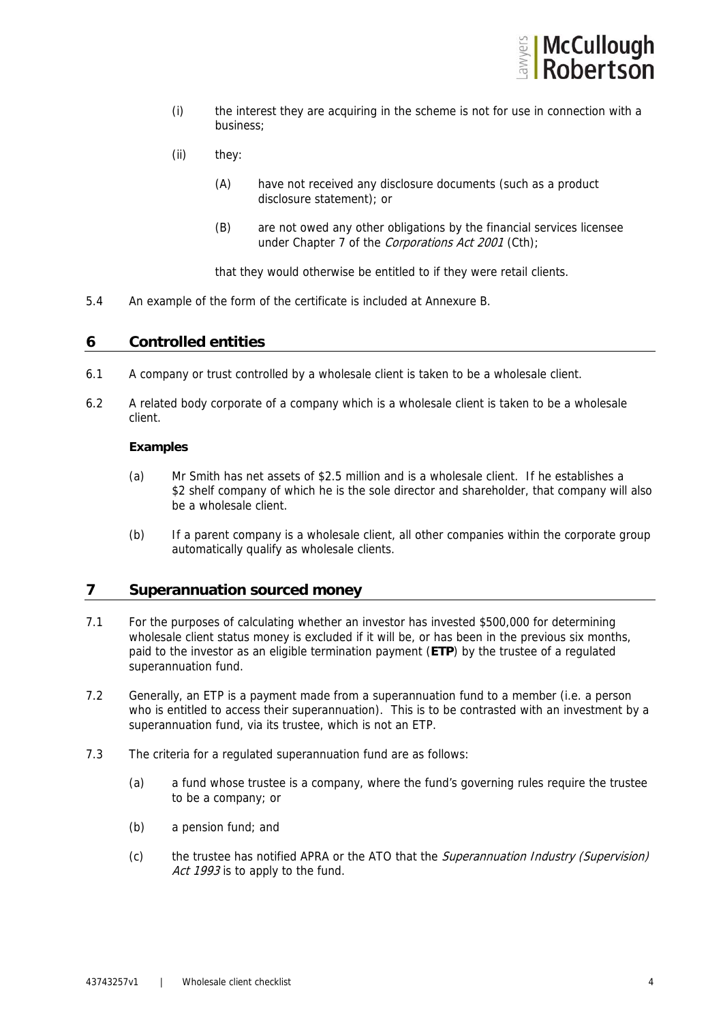

- (i) the interest they are acquiring in the scheme is not for use in connection with a business;
- (ii) they:
	- (A) have not received any disclosure documents (such as a product disclosure statement); or
	- (B) are not owed any other obligations by the financial services licensee under Chapter 7 of the Corporations Act 2001 (Cth);

that they would otherwise be entitled to if they were retail clients.

5.4 An example of the form of the certificate is included at Annexure B.

# **6 Controlled entities**

- 6.1 A company or trust controlled by a wholesale client is taken to be a wholesale client.
- 6.2 A related body corporate of a company which is a wholesale client is taken to be a wholesale client.

#### **Examples**

- (a) Mr Smith has net assets of \$2.5 million and is a wholesale client. If he establishes a \$2 shelf company of which he is the sole director and shareholder, that company will also be a wholesale client.
- (b) If a parent company is a wholesale client, all other companies within the corporate group automatically qualify as wholesale clients.

# **7 Superannuation sourced money**

- 7.1 For the purposes of calculating whether an investor has invested \$500,000 for determining wholesale client status money is excluded if it will be, or has been in the previous six months, paid to the investor as an eligible termination payment (**ETP**) by the trustee of a regulated superannuation fund.
- 7.2 Generally, an ETP is a payment made from a superannuation fund to a member (i.e. a person who is entitled to access their superannuation). This is to be contrasted with an investment by a superannuation fund, via its trustee, which is not an ETP.
- 7.3 The criteria for a regulated superannuation fund are as follows:
	- (a) a fund whose trustee is a company, where the fund's governing rules require the trustee to be a company; or
	- (b) a pension fund; and
	- (c) the trustee has notified APRA or the ATO that the Superannuation Industry (Supervision) Act 1993 is to apply to the fund.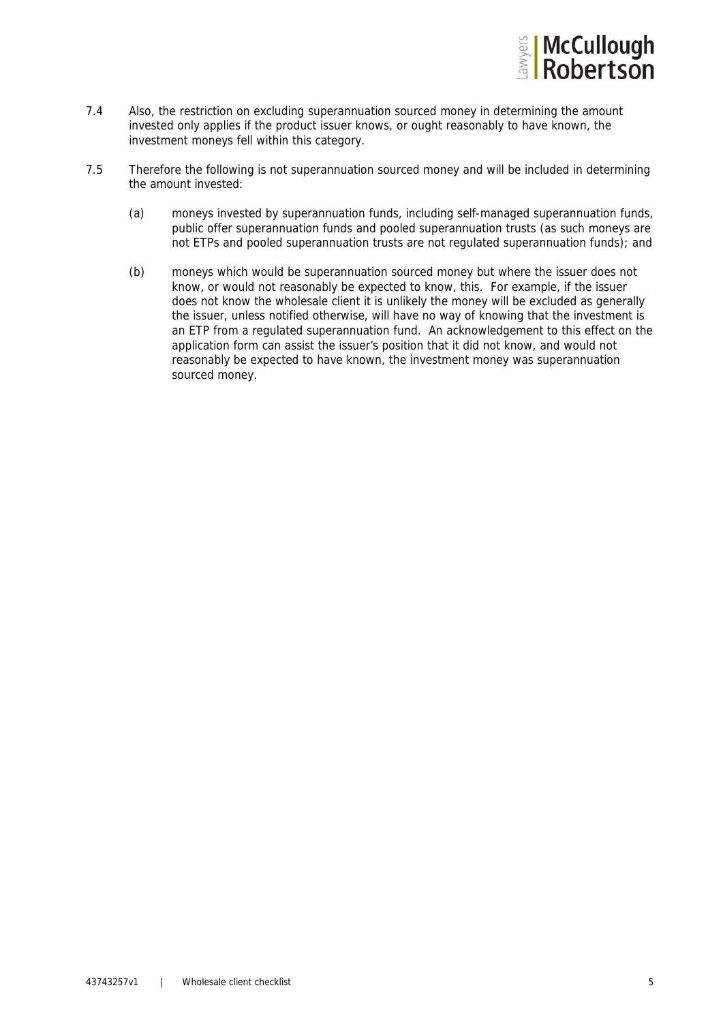

- 7.4 Also, the restriction on excluding superannuation sourced money in determining the amount invested only applies if the product issuer knows, or ought reasonably to have known, the investment moneys fell within this category.
- 7.5 Therefore the following is not superannuation sourced money and will be included in determining the amount invested:
	- (a) moneys invested by superannuation funds, including self-managed superannuation funds, public offer superannuation funds and pooled superannuation trusts (as such moneys are not ETPs and pooled superannuation trusts are not regulated superannuation funds); and
	- (b) moneys which would be superannuation sourced money but where the issuer does not know, or would not reasonably be expected to know, this. For example, if the issuer does not know the wholesale client it is unlikely the money will be excluded as generally the issuer, unless notified otherwise, will have no way of knowing that the investment is an ETP from a regulated superannuation fund. An acknowledgement to this effect on the application form can assist the issuer's position that it did not know, and would not reasonably be expected to have known, the investment money was superannuation sourced money.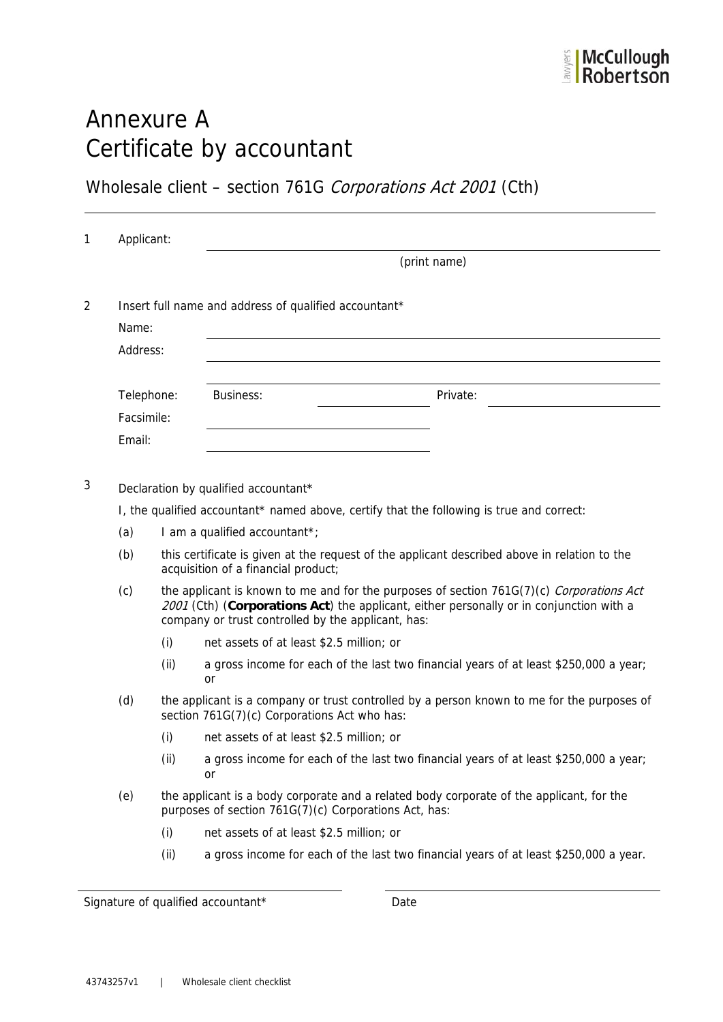# Annexure A Certificate by accountant

Wholesale client - section 761G Corporations Act 2001 (Cth)

|                          | Applicant:                                                                                                                                 |                                                                                                                                                                                                                                           |                                                                                          |  |  |
|--------------------------|--------------------------------------------------------------------------------------------------------------------------------------------|-------------------------------------------------------------------------------------------------------------------------------------------------------------------------------------------------------------------------------------------|------------------------------------------------------------------------------------------|--|--|
|                          |                                                                                                                                            |                                                                                                                                                                                                                                           | (print name)                                                                             |  |  |
|                          |                                                                                                                                            | Insert full name and address of qualified accountant*                                                                                                                                                                                     |                                                                                          |  |  |
| Name:                    |                                                                                                                                            |                                                                                                                                                                                                                                           |                                                                                          |  |  |
| Address:                 |                                                                                                                                            |                                                                                                                                                                                                                                           |                                                                                          |  |  |
|                          |                                                                                                                                            |                                                                                                                                                                                                                                           |                                                                                          |  |  |
| Telephone:<br>Facsimile: |                                                                                                                                            | Business:                                                                                                                                                                                                                                 | Private:                                                                                 |  |  |
|                          |                                                                                                                                            |                                                                                                                                                                                                                                           |                                                                                          |  |  |
| Email:                   |                                                                                                                                            |                                                                                                                                                                                                                                           |                                                                                          |  |  |
|                          |                                                                                                                                            |                                                                                                                                                                                                                                           |                                                                                          |  |  |
|                          |                                                                                                                                            | Declaration by qualified accountant*                                                                                                                                                                                                      |                                                                                          |  |  |
|                          |                                                                                                                                            | I, the qualified accountant* named above, certify that the following is true and correct:                                                                                                                                                 |                                                                                          |  |  |
| (a)                      |                                                                                                                                            | I am a qualified accountant*;                                                                                                                                                                                                             |                                                                                          |  |  |
| (b)                      |                                                                                                                                            | this certificate is given at the request of the applicant described above in relation to the<br>acquisition of a financial product;                                                                                                       |                                                                                          |  |  |
| (c)                      |                                                                                                                                            | the applicant is known to me and for the purposes of section 761G(7)(c) Corporations Act<br>2001 (Cth) (Corporations Act) the applicant, either personally or in conjunction with a<br>company or trust controlled by the applicant, has: |                                                                                          |  |  |
|                          | (i)                                                                                                                                        | net assets of at least \$2.5 million; or                                                                                                                                                                                                  |                                                                                          |  |  |
|                          | (ii)                                                                                                                                       | or                                                                                                                                                                                                                                        | a gross income for each of the last two financial years of at least \$250,000 a year;    |  |  |
| (d)                      | the applicant is a company or trust controlled by a person known to me for the purposes of<br>section 761G(7)(c) Corporations Act who has: |                                                                                                                                                                                                                                           |                                                                                          |  |  |
|                          | (i)                                                                                                                                        | net assets of at least \$2.5 million; or                                                                                                                                                                                                  |                                                                                          |  |  |
|                          |                                                                                                                                            |                                                                                                                                                                                                                                           |                                                                                          |  |  |
|                          | (ii)                                                                                                                                       | or                                                                                                                                                                                                                                        |                                                                                          |  |  |
| (e)                      |                                                                                                                                            | purposes of section 761G(7)(c) Corporations Act, has:                                                                                                                                                                                     | the applicant is a body corporate and a related body corporate of the applicant, for the |  |  |
|                          | (i)                                                                                                                                        | net assets of at least \$2.5 million; or                                                                                                                                                                                                  | a gross income for each of the last two financial years of at least \$250,000 a year;    |  |  |

Signature of qualified accountant\* Date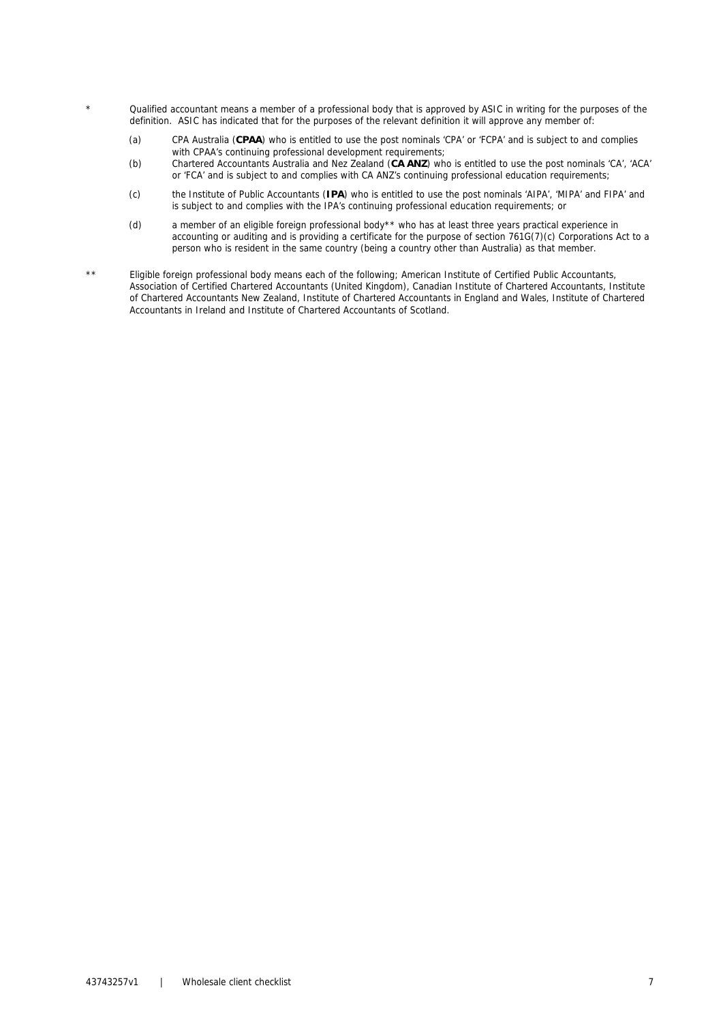- Qualified accountant means a member of a professional body that is approved by ASIC in writing for the purposes of the definition. ASIC has indicated that for the purposes of the relevant definition it will approve any member of:
	- (a) CPA Australia (**CPAA**) who is entitled to use the post nominals 'CPA' or 'FCPA' and is subject to and complies with CPAA's continuing professional development requirements;
	- (b) Chartered Accountants Australia and Nez Zealand (**CA ANZ**) who is entitled to use the post nominals 'CA', 'ACA' or 'FCA' and is subject to and complies with CA ANZ's continuing professional education requirements;
	- (c) the Institute of Public Accountants (**IPA**) who is entitled to use the post nominals 'AIPA', 'MIPA' and FIPA' and is subject to and complies with the IPA's continuing professional education requirements; or
	- (d) a member of an eligible foreign professional body\*\* who has at least three years practical experience in accounting or auditing and is providing a certificate for the purpose of section 761G(7)(c) Corporations Act to a person who is resident in the same country (being a country other than Australia) as that member.
- \*\* Eligible foreign professional body means each of the following; American Institute of Certified Public Accountants, Association of Certified Chartered Accountants (United Kingdom), Canadian Institute of Chartered Accountants, Institute of Chartered Accountants New Zealand, Institute of Chartered Accountants in England and Wales, Institute of Chartered Accountants in Ireland and Institute of Chartered Accountants of Scotland.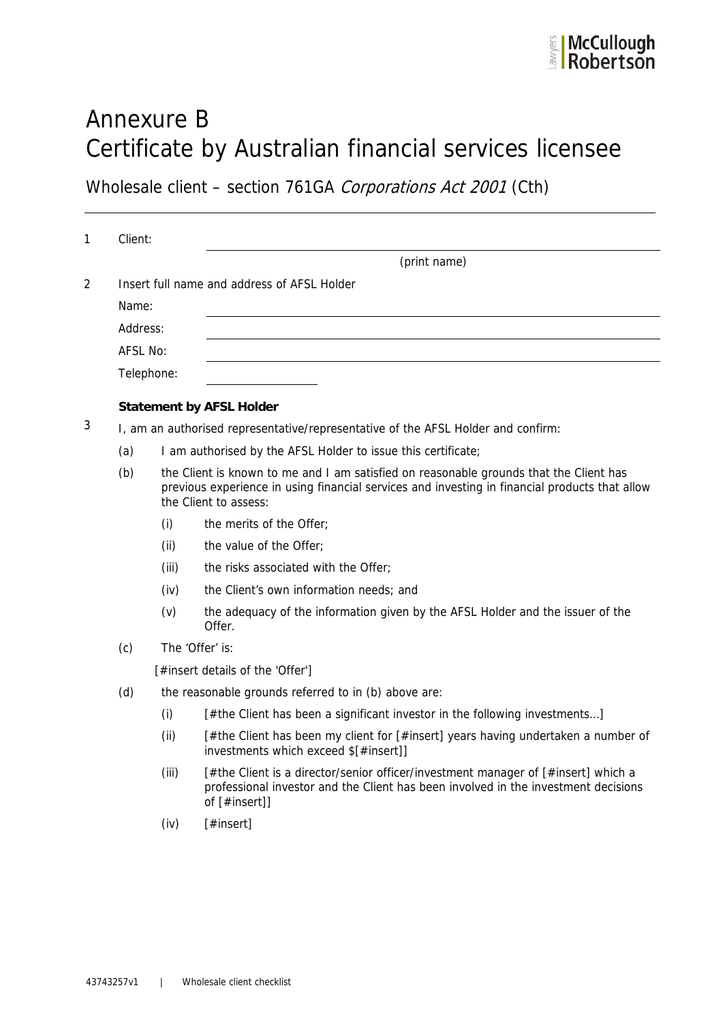# Annexure B Certificate by Australian financial services licensee

Wholesale client - section 761GA Corporations Act 2001 (Cth)

|     |                                                                                                                                                                                                                   | (print name)                                                                                                                                                                             |  |  |
|-----|-------------------------------------------------------------------------------------------------------------------------------------------------------------------------------------------------------------------|------------------------------------------------------------------------------------------------------------------------------------------------------------------------------------------|--|--|
|     | Insert full name and address of AFSL Holder                                                                                                                                                                       |                                                                                                                                                                                          |  |  |
|     |                                                                                                                                                                                                                   |                                                                                                                                                                                          |  |  |
|     |                                                                                                                                                                                                                   |                                                                                                                                                                                          |  |  |
|     |                                                                                                                                                                                                                   |                                                                                                                                                                                          |  |  |
|     |                                                                                                                                                                                                                   |                                                                                                                                                                                          |  |  |
|     |                                                                                                                                                                                                                   | <b>Statement by AFSL Holder</b>                                                                                                                                                          |  |  |
|     |                                                                                                                                                                                                                   | I, am an authorised representative/representative of the AFSL Holder and confirm:                                                                                                        |  |  |
| (a) | I am authorised by the AFSL Holder to issue this certificate;                                                                                                                                                     |                                                                                                                                                                                          |  |  |
| (b) | the Client is known to me and I am satisfied on reasonable grounds that the Client has<br>previous experience in using financial services and investing in financial products that allow<br>the Client to assess: |                                                                                                                                                                                          |  |  |
|     | (i)                                                                                                                                                                                                               | the merits of the Offer;                                                                                                                                                                 |  |  |
|     | (ii)                                                                                                                                                                                                              | the value of the Offer;                                                                                                                                                                  |  |  |
|     | (iii)                                                                                                                                                                                                             | the risks associated with the Offer;                                                                                                                                                     |  |  |
|     | (iv)                                                                                                                                                                                                              | the Client's own information needs; and                                                                                                                                                  |  |  |
|     | (v)                                                                                                                                                                                                               | the adequacy of the information given by the AFSL Holder and the issuer of the<br>Offer.                                                                                                 |  |  |
| (c) | The 'Offer' is:                                                                                                                                                                                                   |                                                                                                                                                                                          |  |  |
|     | [#insert details of the 'Offer']                                                                                                                                                                                  |                                                                                                                                                                                          |  |  |
| (d) | the reasonable grounds referred to in (b) above are:                                                                                                                                                              |                                                                                                                                                                                          |  |  |
|     | (i)                                                                                                                                                                                                               | [#the Client has been a significant investor in the following investments]                                                                                                               |  |  |
|     | (ii)                                                                                                                                                                                                              | [#the Client has been my client for [#insert] years having undertaken a number of<br>investments which exceed \$[#insert]]                                                               |  |  |
|     | (iii)                                                                                                                                                                                                             | [#the Client is a director/senior officer/investment manager of [#insert] which a<br>professional investor and the Client has been involved in the investment decisions<br>of [#insert]] |  |  |
|     | (iv)                                                                                                                                                                                                              | [#insert]                                                                                                                                                                                |  |  |
|     |                                                                                                                                                                                                                   |                                                                                                                                                                                          |  |  |
|     |                                                                                                                                                                                                                   | Client:<br>Name:<br>Address:<br>AFSL No:<br>Telephone:                                                                                                                                   |  |  |